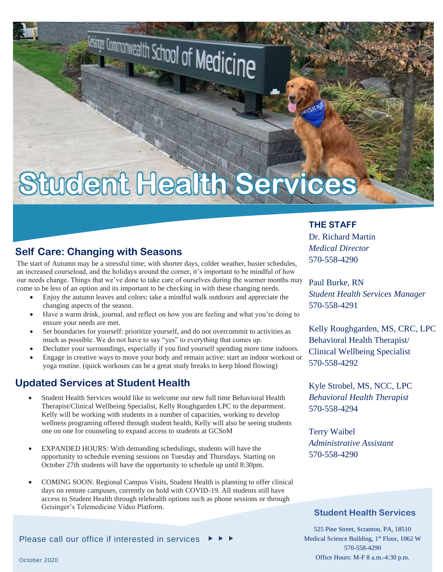# **Student Health Services**

## **Self Care: Changing with Seasons**

The start of Autumn may be a stressful time; with shorter days, colder weather, busier schedules, an increased courseload, and the holidays around the corner, it's important to be mindful of how our needs change. Things that we've done to take care of ourselves during the warmer months may come to be less of an option and its important to be checking in with these changing needs.

- Enjoy the autumn leaves and colors: take a mindful walk outdoors and appreciate the changing aspects of the season.
- Have a warm drink, journal, and reflect on how you are feeling and what you're doing to ensure your needs are met.
- Set boundaries for yourself: prioritize yourself, and do not overcommit to activities as much as possible. We do not have to say "yes" to everything that comes up.
- Declutter your surroundings, especially if you find yourself spending more time indoors.
- Engage in creative ways to move your body and remain active: start an indoor workout or yoga routine. (quick workouts can be a great study breaks to keep blood flowing)

## **Updated Services at Student Health**

- Student Health Services would like to welcome our new full time Behavioral Health Therapist/Clinical Wellbeing Specialist, Kelly Roughgarden LPC to the department. Kelly will be working with students in a number of capacities, working to develop wellness programing offered through student health, Kelly will also be seeing students one on one for counseling to expand access to students at GCSoM
- EXPANDED HOURS: With demanding schedulings, students will have the opportunity to schedule evening sessions on Tuesday and Thursdays. Starting on October 27th students will have the opportunity to schedule up until 8:30pm.
- COMING SOON: Regional Campus Visits, Student Health is planning to offer clinical days on remote campuses, currently on hold with COVID-19. All students still have access to Student Health through telehealth options such as phone sessions or through Geisinger's Telemedicine Video Platform.

Please call our office if interested in services  $\blacktriangleright\hspace{0.2em}\blacktriangleright\hspace{0.2em}\blacktriangleright\hspace{0.2em}\blacktriangleright\hspace{0.2em}\blacktriangleright\hspace{0.2em}\blacktriangleright\hspace{0.2em}$ 

### **THE STAFF**

Dr. Richard Martin *Medical Director* 570-558-4290

Paul Burke, RN *Student Health Services Manager* 570-558-4291

Kelly Roughgarden, MS, CRC, LPC Behavioral Health Therapist/ Clinical Wellbeing Specialist 570-558-4292

Kyle Strobel, MS, NCC, LPC *Behavioral Health Therapist* 570-558-4294

Terry Waibel *Administrative Assistant* 570-558-4290

### **Student Health Services**

525 Pine Street, Scranton, PA, 18510 Medical Science Building, 1<sup>st</sup> Floor, 1062 W 570-558-4290 Office Hours: M-F 8 a.m.-4:30 p.m.

October 2020